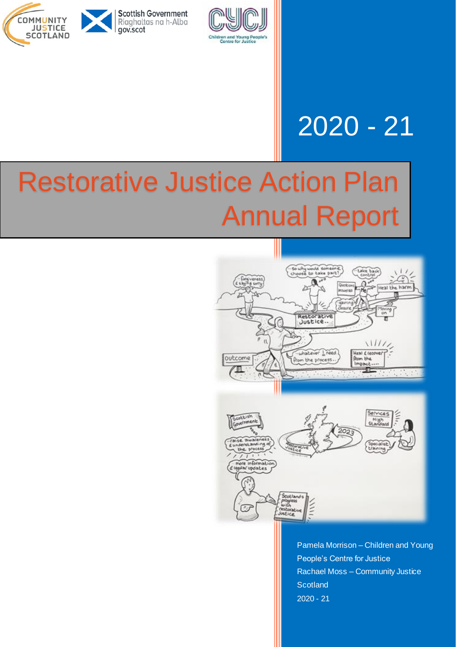



## 2020 - 21

# Restorative Justice Action Plan Annual Report



Pamela Morrison – Children and Young People's Centre for Justice Rachael Moss – Community Justice **Scotland** 2020 - 21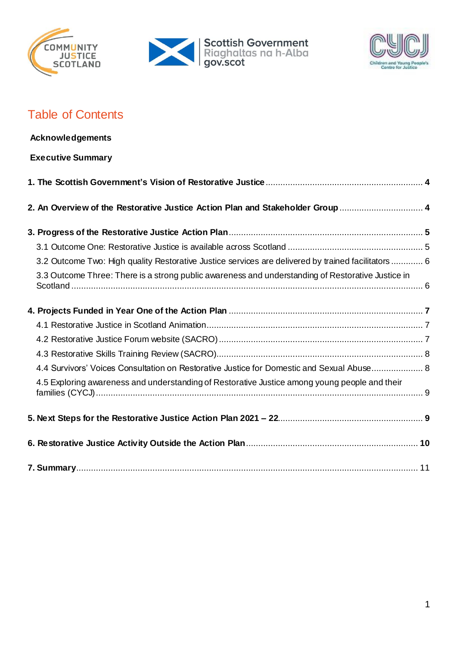





## Table of Contents

| <b>Acknowledgements</b>                                                                             |  |
|-----------------------------------------------------------------------------------------------------|--|
| <b>Executive Summary</b>                                                                            |  |
|                                                                                                     |  |
| 2. An Overview of the Restorative Justice Action Plan and Stakeholder Group  4                      |  |
|                                                                                                     |  |
|                                                                                                     |  |
| 3.2 Outcome Two: High quality Restorative Justice services are delivered by trained facilitators  6 |  |
| 3.3 Outcome Three: There is a strong public awareness and understanding of Restorative Justice in   |  |
|                                                                                                     |  |
|                                                                                                     |  |
|                                                                                                     |  |
|                                                                                                     |  |
| 4.4 Survivors' Voices Consultation on Restorative Justice for Domestic and Sexual Abuse 8           |  |
| 4.5 Exploring awareness and understanding of Restorative Justice among young people and their       |  |
|                                                                                                     |  |
|                                                                                                     |  |
|                                                                                                     |  |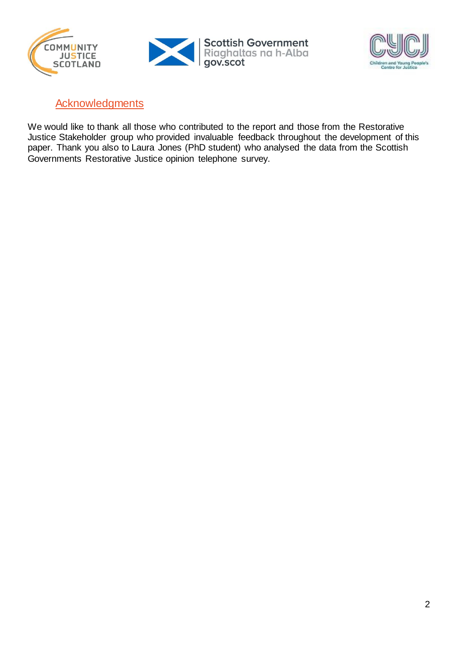





### **Acknowledgments**

We would like to thank all those who contributed to the report and those from the Restorative Justice Stakeholder group who provided invaluable feedback throughout the development of this paper. Thank you also to Laura Jones (PhD student) who analysed the data from the Scottish Governments Restorative Justice opinion telephone survey.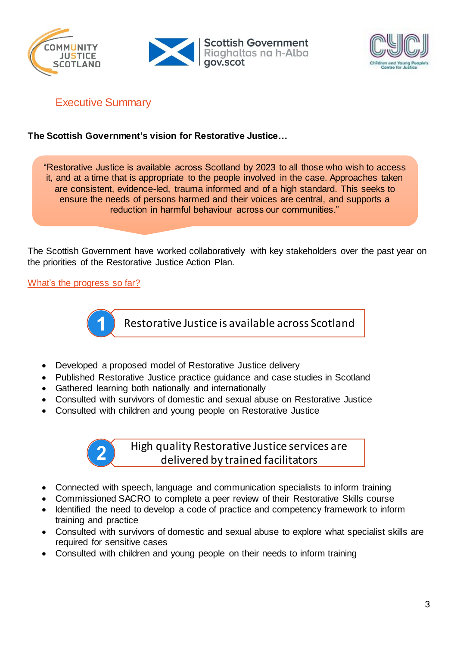





Executive Summary

#### **The Scottish Government's vision for Restorative Justice…**

"Restorative Justice is available across Scotland by 2023 to all those who wish to access it, and at a time that is appropriate to the people involved in the case. Approaches taken are consistent, evidence-led, trauma informed and of a high standard. This seeks to ensure the needs of persons harmed and their voices are central, and supports a reduction in harmful behaviour across our communities."

The Scottish Government have worked collaboratively with key stakeholders over the past year on the priorities of the Restorative Justice Action Plan.

#### What's the progress so far?



Restorative Justice is available across Scotland

- Developed a proposed model of Restorative Justice delivery
- Published Restorative Justice practice guidance and case studies in Scotland
- Gathered learning both nationally and internationally
- Consulted with survivors of domestic and sexual abuse on Restorative Justice
- Consulted with children and young people on Restorative Justice

High quality Restorative Justice services are delivered by trained facilitators

- Connected with speech, language and communication specialists to inform training
- Commissioned SACRO to complete a peer review of their Restorative Skills course
- Identified the need to develop a code of practice and competency framework to inform training and practice
- Consulted with survivors of domestic and sexual abuse to explore what specialist skills are required for sensitive cases
- Consulted with children and young people on their needs to inform training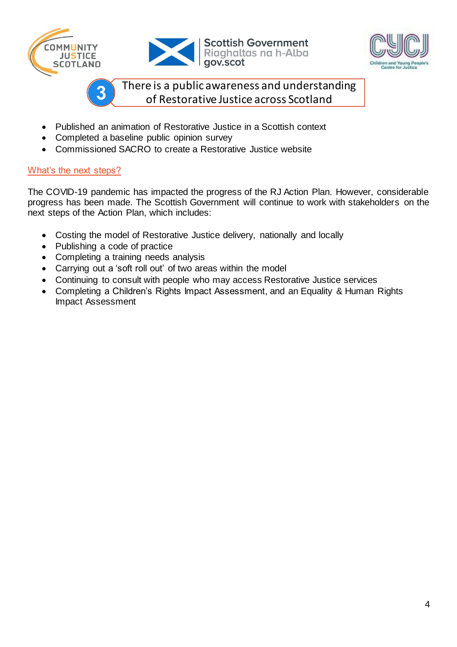



**Scottish Government** Riaghaltas na h-Alba<br>gov.scot



There is a public awareness and understanding of Restorative Justice across Scotland

- Published an animation of Restorative Justice in a Scottish context
- Completed a baseline public opinion survey
- Commissioned SACRO to create a Restorative Justice website

#### What's the next steps?

The COVID-19 pandemic has impacted the progress of the RJ Action Plan. However, considerable progress has been made. The Scottish Government will continue to work with stakeholders on the next steps of the Action Plan, which includes:

- Costing the model of Restorative Justice delivery, nationally and locally
- Publishing a code of practice

3

- Completing a training needs analysis
- Carrying out a 'soft roll out' of two areas within the model
- Continuing to consult with people who may access Restorative Justice services
- Completing a Children's Rights Impact Assessment, and an Equality & Human Rights Impact Assessment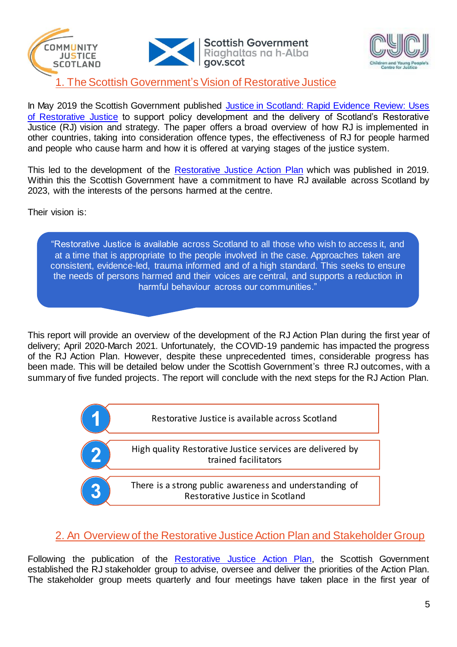



## 1. The Scottish Government's Vision of Restorative Justice

In May 2019 the Scottish Government published Justice in Scotland: Rapid Evidence Review: Uses [of Restorative Justice](file:///C:/Users/nwb19114/Downloads/rapid-evidence-review-uses-restorative-justice.pdf) to support policy development and the delivery of Scotland's Restorative Justice (RJ) vision and strategy. The paper offers a broad overview of how RJ is implemented in other countries, taking into consideration offence types, the effectiveness of RJ for people harmed and people who cause harm and how it is offered at varying stages of the justice system.

This led to the development of the [Restorative Justice Action Plan](https://www.gov.scot/publications/restorative-justice-action-plan/pages/2/) which was published in 2019. Within this the Scottish Government have a commitment to have RJ available across Scotland by 2023, with the interests of the persons harmed at the centre.

Their vision is:

"Restorative Justice is available across Scotland to all those who wish to access it, and at a time that is appropriate to the people involved in the case. Approaches taken are consistent, evidence-led, trauma informed and of a high standard. This seeks to ensure the needs of persons harmed and their voices are central, and supports a reduction in harmful behaviour across our communities."

This report will provide an overview of the development of the RJ Action Plan during the first year of delivery; April 2020-March 2021. Unfortunately, the COVID-19 pandemic has impacted the progress of the RJ Action Plan. However, despite these unprecedented times, considerable progress has been made. This will be detailed below under the Scottish Government's three RJ outcomes, with a summary of five funded projects. The report will conclude with the next steps for the RJ Action Plan.



## 2. An Overview of the Restorative Justice Action Plan and Stakeholder Group

Following the publication of the [Restorative Justice Action Plan,](https://www.gov.scot/publications/restorative-justice-action-plan/pages/2/) the Scottish Government established the RJ stakeholder group to advise, oversee and deliver the priorities of the Action Plan. The stakeholder group meets quarterly and four meetings have taken place in the first year of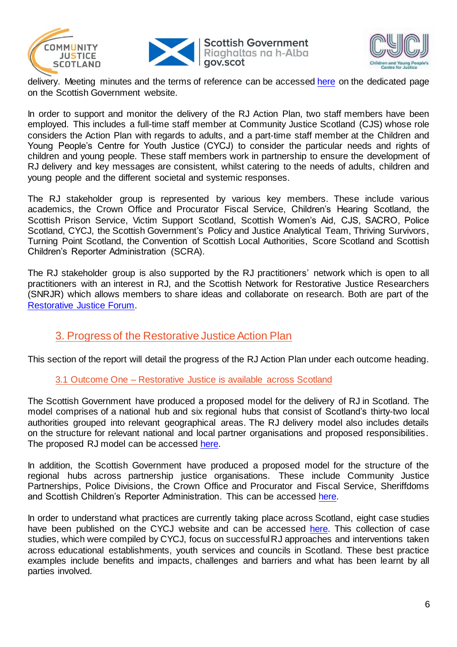





delivery. Meeting minutes and the terms of reference can be accessed [here](https://www.gov.scot/groups/restorative-justice-stakeholder-group/) on the dedicated page on the Scottish Government website.

In order to support and monitor the delivery of the RJ Action Plan, two staff members have been employed. This includes a full-time staff member at Community Justice Scotland (CJS) whose role considers the Action Plan with regards to adults, and a part-time staff member at the Children and Young People's Centre for Youth Justice (CYCJ) to consider the particular needs and rights of children and young people. These staff members work in partnership to ensure the development of RJ delivery and key messages are consistent, whilst catering to the needs of adults, children and young people and the different societal and systemic responses.

The RJ stakeholder group is represented by various key members. These include various academics, the Crown Office and Procurator Fiscal Service, Children's Hearing Scotland, the Scottish Prison Service, Victim Support Scotland, Scottish Women's Aid, CJS, SACRO, Police Scotland, CYCJ, the Scottish Government's Policy and Justice Analytical Team, Thriving Survivors, Turning Point Scotland, the Convention of Scottish Local Authorities, Score Scotland and Scottish Children's Reporter Administration (SCRA).

The RJ stakeholder group is also supported by the RJ practitioners' network which is open to all practitioners with an interest in RJ, and the Scottish Network for Restorative Justice Researchers (SNRJR) which allows members to share ideas and collaborate on research. Both are part of the [Restorative Justice Forum.](https://sites.google.com/view/restorative-justice-forum-scot/home)

## 3. Progress of the Restorative Justice Action Plan

This section of the report will detail the progress of the RJ Action Plan under each outcome heading.

#### 3.1 Outcome One – Restorative Justice is available across Scotland

The Scottish Government have produced a proposed model for the delivery of RJ in Scotland. The model comprises of a national hub and six regional hubs that consist of Scotland's thirty-two local authorities grouped into relevant geographical areas. The RJ delivery model also includes details on the structure for relevant national and local partner organisations and proposed responsibilities. The proposed RJ model can be accessed [here.](https://www.gov.scot/binaries/content/documents/govscot/publications/minutes/2020/12/restorative-justice-stakeholder-group-minutes-october-2020/documents/paper-2-rj-model-diagram/paper-2-rj-model-diagram/govscot%3Adocument/RJ%2Bpaper%2B2.pdf)

In addition, the Scottish Government have produced a proposed model for the structure of the regional hubs across partnership justice organisations. These include Community Justice Partnerships, Police Divisions, the Crown Office and Procurator and Fiscal Service, Sheriffdoms and Scottish Children's Reporter Administration. This can be accessed [here.](https://www.dropbox.com/sh/3m0bsulodpq5app/AAB7IHc5khEDMEIUySV09PxYa?dl=0&preview=Restorative+Justice+-+Stakeholder+Group+meeting+-+26+November+2020+-+Paper+2+-+Possible+regional+hub+partnership+structure.pdf)

In order to understand what practices are currently taking place across Scotland, eight case studies have been published on the CYCJ website and can be accessed [here.](http://www.cycj.org.uk/what-we-do/restorative-justice/) This collection of case studies, which were compiled by CYCJ, focus on successful RJ approaches and interventions taken across educational establishments, youth services and councils in Scotland. These best practice examples include benefits and impacts, challenges and barriers and what has been learnt by all parties involved.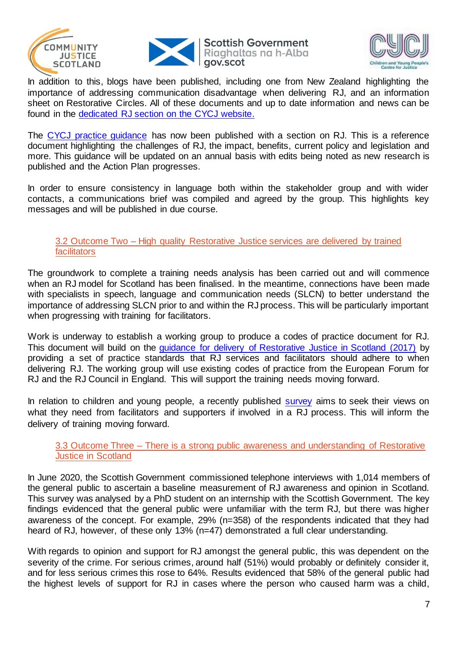



**Scottish Government** Riaghaltas na h-Alba



In addition to this, blogs have been published, including one from New Zealand highlighting the importance of addressing communication disadvantage when delivering RJ, and an information sheet on Restorative Circles. All of these documents and up to date information and news can be found in the [dedicated RJ section on the CYCJ website.](http://www.cycj.org.uk/what-we-do/restorative-justice/)

The [CYCJ practice guidance](https://www.cycj.org.uk/resource/youth-justice-in-scotland-guide/) has now been published with a section on RJ. This is a reference document highlighting the challenges of RJ, the impact, benefits, current policy and legislation and more. This guidance will be updated on an annual basis with edits being noted as new research is published and the Action Plan progresses.

In order to ensure consistency in language both within the stakeholder group and with wider contacts, a communications brief was compiled and agreed by the group. This highlights key messages and will be published in due course.

#### 3.2 Outcome Two – High quality Restorative Justice services are delivered by trained facilitators

The groundwork to complete a training needs analysis has been carried out and will commence when an RJ model for Scotland has been finalised. In the meantime, connections have been made with specialists in speech, language and communication needs (SLCN) to better understand the importance of addressing SLCN prior to and within the RJ process. This will be particularly important when progressing with training for facilitators.

Work is underway to establish a working group to produce a codes of practice document for RJ. This document will build on the [guidance for delivery of Restorative Justice in Scotland \(2017\)](https://www.gov.scot/publications/guidance-delivery-restorative-justice-scotland/) by providing a set of practice standards that RJ services and facilitators should adhere to when delivering RJ. The working group will use existing codes of practice from the European Forum for RJ and the RJ Council in England. This will support the training needs moving forward.

In relation to children and young people, a recently published [survey](https://hass.eu.qualtrics.com/jfe/form/SV_baz3zgtYQt1E8YK) aims to seek their views on what they need from facilitators and supporters if involved in a RJ process. This will inform the delivery of training moving forward.

#### 3.3 Outcome Three – There is a strong public awareness and understanding of Restorative Justice in Scotland

In June 2020, the Scottish Government commissioned telephone interviews with 1,014 members of the general public to ascertain a baseline measurement of RJ awareness and opinion in Scotland. This survey was analysed by a PhD student on an internship with the Scottish Government. The key findings evidenced that the general public were unfamiliar with the term RJ, but there was higher awareness of the concept. For example, 29% (n=358) of the respondents indicated that they had heard of RJ, however, of these only 13% (n=47) demonstrated a full clear understanding.

With regards to opinion and support for RJ amongst the general public, this was dependent on the severity of the crime. For serious crimes, around half (51%) would probably or definitely consider it, and for less serious crimes this rose to 64%. Results evidenced that 58% of the general public had the highest levels of support for RJ in cases where the person who caused harm was a child,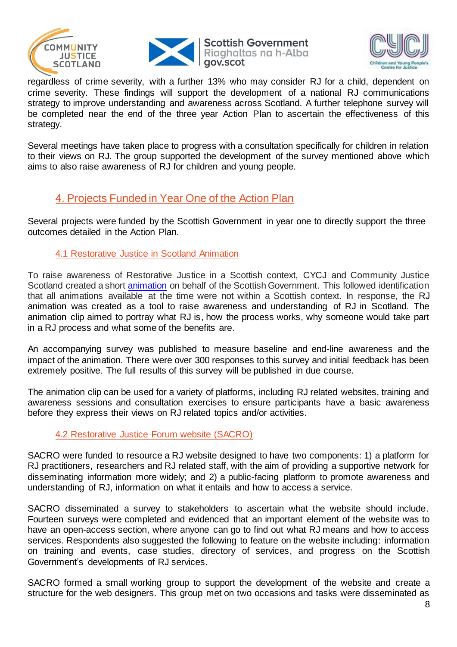





regardless of crime severity, with a further 13% who may consider RJ for a child, dependent on crime severity. These findings will support the development of a national RJ communications strategy to improve understanding and awareness across Scotland. A further telephone survey will be completed near the end of the three year Action Plan to ascertain the effectiveness of this strategy.

Several meetings have taken place to progress with a consultation specifically for children in relation to their views on RJ. The group supported the development of the survey mentioned above which aims to also raise awareness of RJ for children and young people.

## 4. Projects Funded in Year One of the Action Plan

Several projects were funded by the Scottish Government in year one to directly support the three outcomes detailed in the Action Plan.

#### 4.1 Restorative Justice in Scotland Animation

To raise awareness of Restorative Justice in a Scottish context, CYCJ and Community Justice Scotland created a short [animation](https://youtu.be/kKO4xSQvpWQ) on behalf of the Scottish Government. This followed identification that all animations available at the time were not within a Scottish context. In response, the RJ animation was created as a tool to raise awareness and understanding of RJ in Scotland. The animation clip aimed to portray what RJ is, how the process works, why someone would take part in a RJ process and what some of the benefits are.

An accompanying survey was published to measure baseline and end-line awareness and the impact of the animation. There were over 300 responses to this survey and initial feedback has been extremely positive. The full results of this survey will be published in due course.

The animation clip can be used for a variety of platforms, including RJ related websites, training and awareness sessions and consultation exercises to ensure participants have a basic awareness before they express their views on RJ related topics and/or activities.

#### 4.2 Restorative Justice Forum website (SACRO)

SACRO were funded to resource a RJ website designed to have two components: 1) a platform for RJ practitioners, researchers and RJ related staff, with the aim of providing a supportive network for disseminating information more widely; and 2) a public-facing platform to promote awareness and understanding of RJ, information on what it entails and how to access a service.

SACRO disseminated a survey to stakeholders to ascertain what the website should include. Fourteen surveys were completed and evidenced that an important element of the website was to have an open-access section, where anyone can go to find out what RJ means and how to access services. Respondents also suggested the following to feature on the website including: information on training and events, case studies, directory of services, and progress on the Scottish Government's developments of RJ services.

SACRO formed a small working group to support the development of the website and create a structure for the web designers. This group met on two occasions and tasks were disseminated as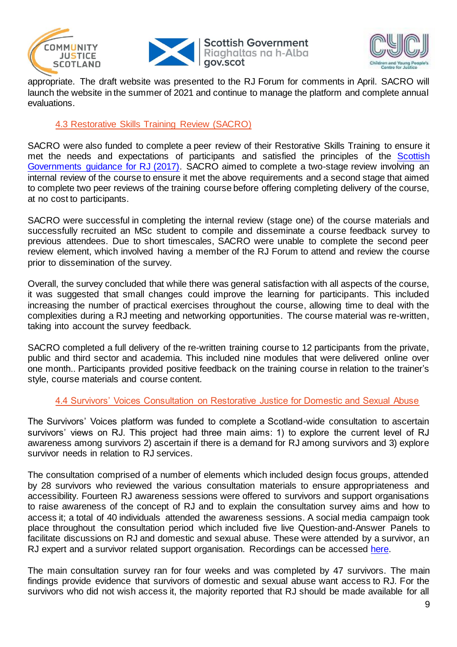





appropriate. The draft website was presented to the RJ Forum for comments in April. SACRO will launch the website in the summer of 2021 and continue to manage the platform and complete annual evaluations.

#### 4.3 Restorative Skills Training Review (SACRO)

SACRO were also funded to complete a peer review of their Restorative Skills Training to ensure it met the needs and expectations of participants and satisfied the principles of the Scottish [Governments guidance for RJ \(2017\).](https://www.gov.scot/publications/guidance-delivery-restorative-justice-scotland/) SACRO aimed to complete a two-stage review involving an internal review of the course to ensure it met the above requirements and a second stage that aimed to complete two peer reviews of the training course before offering completing delivery of the course, at no cost to participants.

SACRO were successful in completing the internal review (stage one) of the course materials and successfully recruited an MSc student to compile and disseminate a course feedback survey to previous attendees. Due to short timescales, SACRO were unable to complete the second peer review element, which involved having a member of the RJ Forum to attend and review the course prior to dissemination of the survey.

Overall, the survey concluded that while there was general satisfaction with all aspects of the course, it was suggested that small changes could improve the learning for participants. This included increasing the number of practical exercises throughout the course, allowing time to deal with the complexities during a RJ meeting and networking opportunities. The course material was re-written, taking into account the survey feedback.

SACRO completed a full delivery of the re-written training course to 12 participants from the private, public and third sector and academia. This included nine modules that were delivered online over one month.. Participants provided positive feedback on the training course in relation to the trainer's style, course materials and course content*.* 

#### 4.4 Survivors' Voices Consultation on Restorative Justice for Domestic and Sexual Abuse

The Survivors' Voices platform was funded to complete a Scotland-wide consultation to ascertain survivors' views on RJ. This project had three main aims: 1) to explore the current level of RJ awareness among survivors 2) ascertain if there is a demand for RJ among survivors and 3) explore survivor needs in relation to RJ services.

The consultation comprised of a number of elements which included design focus groups, attended by 28 survivors who reviewed the various consultation materials to ensure appropriateness and accessibility. Fourteen RJ awareness sessions were offered to survivors and support organisations to raise awareness of the concept of RJ and to explain the consultation survey aims and how to access it; a total of 40 individuals attended the awareness sessions. A social media campaign took place throughout the consultation period which included five live Question-and-Answer Panels to facilitate discussions on RJ and domestic and sexual abuse. These were attended by a survivor, an RJ expert and a survivor related support organisation. Recordings can be accessed [here.](https://linktr.ee/SurvivorsVoices)

The main consultation survey ran for four weeks and was completed by 47 survivors. The main findings provide evidence that survivors of domestic and sexual abuse want access to RJ. For the survivors who did not wish access it, the majority reported that RJ should be made available for all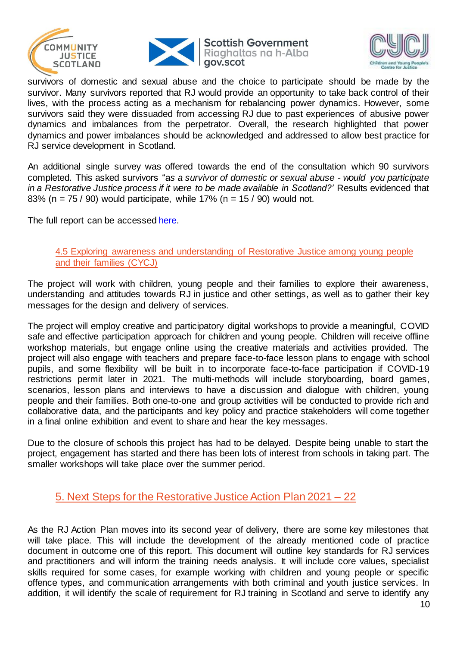



**Scottish Government** Riaghaltas na h-Alba



survivors of domestic and sexual abuse and the choice to participate should be made by the survivor. Many survivors reported that RJ would provide an opportunity to take back control of their lives, with the process acting as a mechanism for rebalancing power dynamics. However, some survivors said they were dissuaded from accessing RJ due to past experiences of abusive power dynamics and imbalances from the perpetrator. Overall, the research highlighted that power dynamics and power imbalances should be acknowledged and addressed to allow best practice for RJ service development in Scotland.

An additional single survey was offered towards the end of the consultation which 90 survivors completed. This asked survivors "a*s a survivor of domestic or sexual abuse - would you participate in a Restorative Justice process if it were to be made available in Scotland?'* Results evidenced that 83% (n =  $75/90$ ) would participate, while 17% (n =  $15/90$ ) would not.

The full report can be accessed [here.](http://www.thrivingsurvivors.co.uk/uploads/1/0/8/6/108624537/restorative_justice_-_survivors_voices_-_consultation_report.pdf)

#### 4.5 Exploring awareness and understanding of Restorative Justice among young people and their families (CYCJ)

The project will work with children, young people and their families to explore their awareness, understanding and attitudes towards RJ in justice and other settings, as well as to gather their key messages for the design and delivery of services.

The project will employ creative and participatory digital workshops to provide a meaningful, COVID safe and effective participation approach for children and young people. Children will receive offline workshop materials, but engage online using the creative materials and activities provided. The project will also engage with teachers and prepare face-to-face lesson plans to engage with school pupils, and some flexibility will be built in to incorporate face-to-face participation if COVID-19 restrictions permit later in 2021. The multi-methods will include storyboarding, board games, scenarios, lesson plans and interviews to have a discussion and dialogue with children, young people and their families. Both one-to-one and group activities will be conducted to provide rich and collaborative data, and the participants and key policy and practice stakeholders will come together in a final online exhibition and event to share and hear the key messages.

Due to the closure of schools this project has had to be delayed. Despite being unable to start the project, engagement has started and there has been lots of interest from schools in taking part. The smaller workshops will take place over the summer period.

### 5. Next Steps for the Restorative Justice Action Plan 2021 – 22

As the RJ Action Plan moves into its second year of delivery, there are some key milestones that will take place. This will include the development of the already mentioned code of practice document in outcome one of this report. This document will outline key standards for RJ services and practitioners and will inform the training needs analysis. It will include core values, specialist skills required for some cases, for example working with children and young people or specific offence types, and communication arrangements with both criminal and youth justice services. In addition, it will identify the scale of requirement for RJ training in Scotland and serve to identify any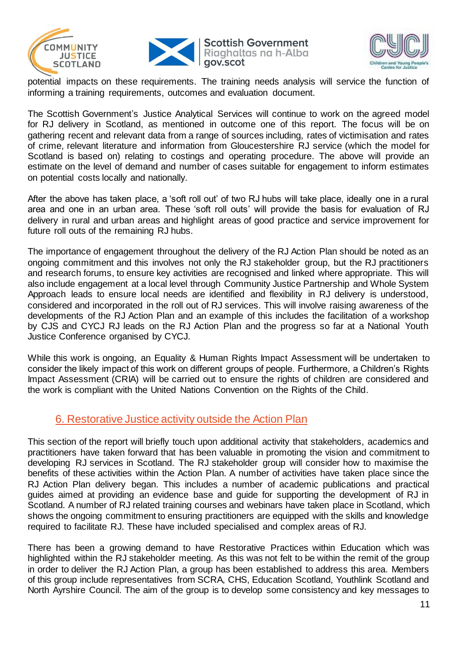



**Scottish Government** Riaghaltas na h-Alba gov.scot



potential impacts on these requirements. The training needs analysis will service the function of informing a training requirements, outcomes and evaluation document.

The Scottish Government's Justice Analytical Services will continue to work on the agreed model for RJ delivery in Scotland, as mentioned in outcome one of this report. The focus will be on gathering recent and relevant data from a range of sources including, rates of victimisation and rates of crime, relevant literature and information from Gloucestershire RJ service (which the model for Scotland is based on) relating to costings and operating procedure. The above will provide an estimate on the level of demand and number of cases suitable for engagement to inform estimates on potential costs locally and nationally.

After the above has taken place, a 'soft roll out' of two RJ hubs will take place, ideally one in a rural area and one in an urban area. These 'soft roll outs' will provide the basis for evaluation of RJ delivery in rural and urban areas and highlight areas of good practice and service improvement for future roll outs of the remaining RJ hubs.

The importance of engagement throughout the delivery of the RJ Action Plan should be noted as an ongoing commitment and this involves not only the RJ stakeholder group, but the RJ practitioners and research forums, to ensure key activities are recognised and linked where appropriate. This will also include engagement at a local level through Community Justice Partnership and Whole System Approach leads to ensure local needs are identified and flexibility in RJ delivery is understood, considered and incorporated in the roll out of RJ services. This will involve raising awareness of the developments of the RJ Action Plan and an example of this includes the facilitation of a workshop by CJS and CYCJ RJ leads on the RJ Action Plan and the progress so far at a National Youth Justice Conference organised by CYCJ.

While this work is ongoing, an Equality & Human Rights Impact Assessment will be undertaken to consider the likely impact of this work on different groups of people. Furthermore, a Children's Rights Impact Assessment (CRIA) will be carried out to ensure the rights of children are considered and the work is compliant with the United Nations Convention on the Rights of the Child.

## 6. Restorative Justice activity outside the Action Plan

This section of the report will briefly touch upon additional activity that stakeholders, academics and practitioners have taken forward that has been valuable in promoting the vision and commitment to developing RJ services in Scotland. The RJ stakeholder group will consider how to maximise the benefits of these activities within the Action Plan. A number of activities have taken place since the RJ Action Plan delivery began. This includes a number of academic publications and practical guides aimed at providing an evidence base and guide for supporting the development of RJ in Scotland. A number of RJ related training courses and webinars have taken place in Scotland, which shows the ongoing commitment to ensuring practitioners are equipped with the skills and knowledge required to facilitate RJ. These have included specialised and complex areas of RJ.

There has been a growing demand to have Restorative Practices within Education which was highlighted within the RJ stakeholder meeting. As this was not felt to be within the remit of the group in order to deliver the RJ Action Plan, a group has been established to address this area. Members of this group include representatives from SCRA, CHS, Education Scotland, Youthlink Scotland and North Ayrshire Council. The aim of the group is to develop some consistency and key messages to